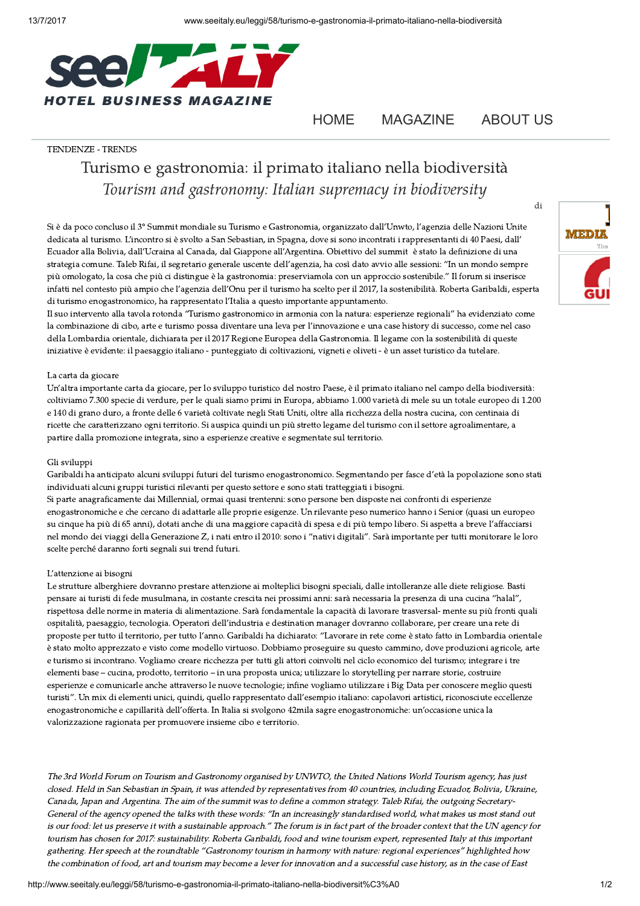

## [HOME](http://www.seeitaly.eu/home) [MAGAZINE](http://www.seeitaly.eu/magazine) [ABOUT](http://www.seeitaly.eu/chi-siamo) US

di

### TENDENZE - TRENDS

# Turismo e gastronomia: il primato italiano nella biodiversità Tourism and gastronomy: Italian supremacy in biodiversity

Si <sup>è</sup> da poco concluso il 3° Summit mondiale su Turismo <sup>e</sup> Gastronomia, organizzato dall'Unwto, l'agenzia delle Nazioni Unite dedicata al turismo. L'incontro si <sup>è</sup> svolto <sup>a</sup> San Sebastian, in Spagna, dove si sono incontrati <sup>i</sup> rappresentanti di <sup>40</sup> Paesi, dall' Ecuador alla Bolivia, dall'Ucraina al Canada, dal Giappone all'Argentina. Obiettivo del summit <sup>è</sup> stato la definizione di una strategia comune. Taleb Rifai, il segretario generale uscente dell'agenzia, ha così dato avvio alle sessioni: "In un mondo sempre più omologato, la cosa che più ci distingue <sup>è</sup> la gastronomia: preserviamola con un approccio sostenibile." Il forum si inserisce infatti nel contesto più ampio che l'agenzia dell'Onu per il turismo ha scelto per il 2017, la sostenibilità. Roberta Garibaldi, esperta di turismo enogastronomico, ha rappresentato l'Italia <sup>a</sup> questo importante appuntamento.

Il suo intervento alla tavola rotonda "Turismo gastronomico in armonia con la natura: esperienze regionali" ha evidenziato come la combinazione di cibo, arte <sup>e</sup> turismo possa diventare una leva per l'innovazione <sup>e</sup> una case history di successo, come nel caso della Lombardia orientale, dichiarata per il 2017 Regione Europea della Gastronomia. Il legame con la sostenibilità di queste iniziative <sup>è</sup> evidente: il paesaggio italiano - punteggiato di coltivazioni, vigneti <sup>e</sup> oliveti - <sup>è</sup> un asset turistico da tutelare.

### La carta da giocare

Un'altra importante carta da giocare, per lo sviluppo turistico del nostro Paese, <sup>è</sup> il primato italiano nel campo della biodiversità: coltiviamo 7.300 specie di verdure, per le quali siamo primi in Europa, abbiamo 1.000 varietà di mele su un totale europeo di 1.200 e 140 di grano duro, a fronte delle 6 varietà coltivate negli Stati Uniti, oltre alla ricchezza della nostra cucina, con centinaia di ricette che caratterizzano ogni territorio. Si auspica quindi un più stretto legame del turismo con il settore agroalimentare, <sup>a</sup> partire dalla promozione integrata, sino a esperienze creative e segmentate sul territorio.

### Gli sviluppi

Garibaldi ha anticipato alcuni sviluppi futuri del turismo enogastronomico. Segmentando per fasce d'età la popolazione sono stati individuati alcuni gruppi turistici rilevanti per questo settore e sono stati tratteggiati i bisogni.

Si parte anagraficamente dai Millennial, ormai quasi trentenni: sono persone ben disposte nei confronti di esperienze enogastronomiche e che cercano di adattarle alle proprie esigenze. Un rilevante peso numerico hanno i Senior (quasi un europeo su cinque ha più di <sup>65</sup> anni), dotati anche di una maggiore capacità di spesa <sup>e</sup> di più tempo libero. Si aspetta <sup>a</sup> breve l'affacciarsi nel mondo dei viaggi della Generazione Z, <sup>i</sup> nati entro il 2010: sono <sup>i</sup> "nativi digitali". Sarà importante per tutti monitorare le loro scelte perché daranno forti segnali sui trend futuri.

### L'attenzione ai bisogni

Le strutture alberghiere dovranno prestare attenzione ai molteplici bisogni speciali, dalle intolleranze alle diete religiose. Basti pensare ai turisti di fede musulmana, in costante crescita nei prossimi anni: sarà necessaria la presenza di una cucina "halal", rispettosa delle norme in materia di alimentazione. Sarà fondamentale la capacità di lavorare trasversal- mente su più fronti quali ospitalità, paesaggio, tecnologia. Operatori dell'industria <sup>e</sup> destination manager dovranno collaborare, per creare una rete di proposte per tutto il territorio, per tutto l'anno. Garibaldi ha dichiarato: "Lavorare in rete come <sup>è</sup> stato fatto in Lombardia orientale <sup>è</sup> stato molto apprezzato <sup>e</sup> visto come modello virtuoso. Dobbiamo proseguire su questo cammino, dove produzioni agricole, arte e turismo si incontrano. Vogliamo creare ricchezza per tutti gli attori coinvolti nel ciclo economico del turismo; integrare i tre elementi base – cucina, prodotto, territorio – in una proposta unica; utilizzare lo storytelling per narrare storie, costruire esperienze e comunicarle anche attraverso le nuove tecnologie; infine vogliamo utilizzare i Big Data per conoscere meglio questi turisti". Un mix di elementi unici, quindi, quello rappresentato dall'esempio italiano: capolavori artistici, riconosciute eccellenze enogastronomiche <sup>e</sup> capillarità dell'offerta. In Italia si svolgono 42mila sagre enogastronomiche: un'occasione unica la valorizzazione ragionata per promuovere insieme cibo e territorio.

The 3rd World Forum on Tourism and Gastronomy organised by UNWTO, the United Nations World Tourism agency, has just closed. Held in San Sebastian in Spain, it was attended by representatives from 40 countries, including Ecuador, Bolivia, Ukraine, Canada, Japan and Argentina. The aim of the summit was to define <sup>a</sup> common strategy. Taleb Rifai, the outgoing Secretary-General of the agency opened the talks with these words: "In an increasingly standardised world, what makes us most stand out is our food: let us preserve it with <sup>a</sup> sustainable approach." The forum is in fact part of the broader context that the UN agency for tourism has chosen for 2017: sustainability. Roberta Garibaldi, food and wine tourism expert, represented Italy at this important gathering. Her speech at the roundtable "Gastronomy tourism in harmony with nature: regional experiences" highlighted how the combination of food, art and tourism may become <sup>a</sup> lever for innovation and <sup>a</sup> successful case history, as in the case of East